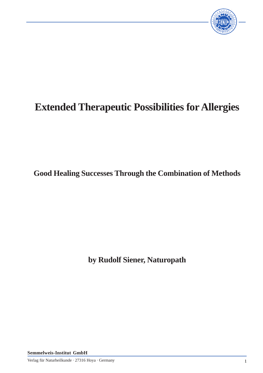

# **Extended Therapeutic Possibilities for Allergies**

**Good Healing Successes Through the Combination of Methods**

**by Rudolf Siener, Naturopath**

**Semmelweis-Institut GmbH**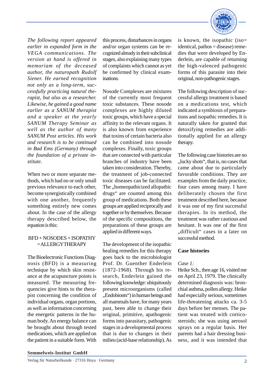

*The following report appeared earlier in expanded form in the VEGA communications. The version at hand is offered in memoriam of the deceased author, the naturopath Rudolf Siener. He earned recognition not only as a long-term, successfully practicing natural therapist, but also as a researcher. Likewise, he gained a good name earlier as a SANUM therapist and a speaker at the yearly SANUM Therapy Seminar as well as the author of many SANUM Post articles. His work and research is to be continued in Bad Ems (Germany) through the foundation of a private institute.*

When two or more separate methods, which had no or only small previous relevance to each other, become synergistically combined with one another, frequently something entirely new comes about. In the case of the allergy therapy described below, the equation is this:

# BFD + NOSODES + ISOPATHY = ALLERGYTHERAPY

The Bioelectronic Functions Diagnosis (BFD) is a measuring technique by which skin resistance at the acupuncture points is measured. The measuring frequencies give hints to the therapist concerning the condition of individual organs, organ portions, as well as information concerning the energetic patterns in the human body. An energy balance can be brought about through tested medications, which are applied on the patient in a suitable form. With

this process, disturbances in organs and/or organ systems can be recognized already in their subclinical stages, also explaining many types of complaints which cannot as yet be confirmed by clinical examinations.

Nosode Complexes are mixtures of the currently most frequent toxic substances. These nosode complexes are highly diluted toxic groups, which have a special affinity to the relevant organs. It is also known from experience that toxins of certain bacteria also can be combined into nosode complexes. Finally, toxic groups that are connected with particular branches of industry have been taken into consideration. Thereby, the treatment of job-connected toxic diseases can be facilitated. The "homeopathicized allopathic drugs" are counted among this group of medications. Both these groups are applied reciprocally and together or by themselves. Because of the specific compositions, the preparations of these groups are applied in different ways.

The development of the isopathic healing remedies for this therapy goes back to the microbiologist Prof. Dr. Guenther Enderlein (1872-1968). Through his research, Enderlein gained the following knowledge: ubiquitously present microorganisms (called "Endobionts") in human beings and all mammals have, for many years past, been able to change their original, primitive, apathogenic forms into parasitary, pathogenic stages in a developmental process that is due to changes in their milieu (acid-base relationship). As

is known, the isopathic (iso= identical, pathos = disease) remedies that were developed by Enderlein, are capable of returning the high-valenced pathogenic forms of this parasite into their original, non-pathogenic stages.

The following description of successful allergy treatment is based on a medications test, which indicated a symbiosis of preparations and isopathic remedies. It is naturally taken for granted that detoxifying remedies are additionally applied for an allergy therapy.

The following case histories are no "lucky shots", that is, no cases that came about due to particularly favorable conditions. They are examples from the daily practice, four cases among many. I have deliberately chosen the first treatment described here, because it was one of my first successful therapies. In its method, the treatment was rather cautious and hesitant. It was one of the first "difficult" cases in a later on successful method.

# **Case histories**

# *Case 1:*

Heike Sch., then age 16, visited me on April 23, 1979. The clinically determined diagnosis was: bronchial asthma, pollen allergy. Heike had especially serious, sometimes life-threatening attacks ca. 3-5 days before her menses. The patient was treated with corticosteroids; she was using aerosol sprays on a regular basis. Her parents had a hair dressing business, and it was intended that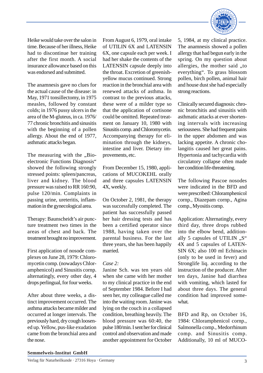

Heike would take over the salon in time. Because of her illness, Heike had to discontinue her training after the first month. A social insurance allowance based on this was endorsed and submitted.

The anamnesis gave no clues for the actual cause of the disease: in May, 1971 tonsillectomy, in 1975 measles, followed by constant colds; in 1976 pussy ulcers in the area of the M-gluteus, in ca. 1976/ 77 chronic bronchitis and sinusitis with the beginning of a pollen allergy. About the end of 1977, asthmatic attacks began.

The measuring with the "Bioelectronic Functions Diagnosis" showed the following strongly stressed points: spleen/pancreas, liver and kidney. The blood pressure was raised to RR 160:90, pulse 120/min. Complaints in passing urine, ureteritis, inflammation in the gynecological area.

Therapy: Baunscheidt's air puncture treatment two times in the areas of chest and back. The treatment brought no improvement.

First application of nosode complexes on June 28, 1979: Chloromycetin comp. (nowadays Chloramphenicol) and Sinusitis cornp. alternatingly, every other day, 4 drops perlingual, for four weeks.

After about three weeks, a distinct improvement occurred. The asthma attacks became milder and occurred at longer intervals. The previously hard, dry cough loosened up. Yellow, pus-like exudation came from the bronchial area and the nose.

From August 6, 1979, oral intake of UTILIN 6X and LATENSIN 6X, one capsule each per week. I had her shake the contents of the LATENSIN capsule deeply into the throat. Excretion of greenishyellow mucus continued. Strong reaction in the bronchial area with renewed attacks of asthma. In contrast to the previous attacks, these were of a milder type so that the application of cortisone could be omitted. Repeated treatment on January 10, 1980 with Sinusitis cornp. and Chloromycetin. Accompanying therapy for elimination through the kidneys, intestine and liver. Dietary improvements, etc.

From December 15, 1980, applications of MUCOKEHL orally and three capsules LATENSIN 4X, weekly.

On October 2, 1981, the therapy was successfully completed. The patient has successfully passed her hair dressing tests and has been a certified operator since 1988, having taken over the parental business. For the last three years, she has been happily married.

## *Case 2:*

Janine Sch. was ten years old when she came with her mother to my clinical practice in the end of September 1984. Before I had seen her, my colleague called me into the waiting room. Janine was lying on the couch in a collapsed condition, breathing heavily. The blood pressure was 60:40, the pulse 180/min. I sent her for clinical control and observation and made another appointment for October

5, 1984, at my clinical practice. The anamnesis showed a pollen allergy that had begun early in the spring. On my question about allergies, the mother said "to everything". To grass blossom pollen, birch pollen, animal hair and house dust she had especially strong reactions.

Clinically secured diagnosis: chronic bronchitis and sinusitis with asthmatic attacks at ever shortening intervals with increasing seriousness. She had frequent pains in the upper abdomen and was lacking appetite. A chronic cholangitis caused her great pains. Hypertonia and tachycardia with circulatory collapse often made her condition life-threatening.

The following Pascoe nosodes were indicated in the BFD and were prescribed: Chloramphenicol cornp., Diazepam cornp., Agina comp., Myositis comp.

Application: Alternatingly, every third day, three drops rubbed into the elbow bend, additionally 5 capsules of UTILIN  $, S^{\prime\prime}$ 4X and 5 capsules of LATEN-SIN 6X; also 100 ml Echinacin (only to be used in fever) and Stronglife liq. according to the instruction of the producer. After ten days, Janine had diarrhea with vomiting, which lasted for about three days. The general condition had improved somewhat.

BFD and Rp, on October 16, 1984: Chloramphenicol cornp., Salmonella comp., Medorrhinum comp. and Sinusitis comp. Additionally, 10 ml of MUCO-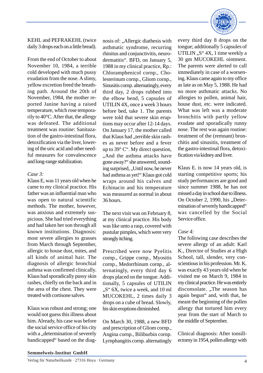KEHL and PEFRAKEHL (twice daily 3 drops each on a little bread).

From the end of October to about November 10, 1984, a terrible cold developed with much pussy exudation from the nose. A slimy, yellow excretion freed the breathing path. Around the 20th of November, 1984, the mother reported Janine having a raised temperature, which rose temporarily to 40°C. After that, the allergy was defeated. The additional treatment was routine: Sanitazation of the gastro-intestinal flora, detoxification via the liver, lowering of the uric acid and other needful measures for convalescence and long-range stabilization.

## *Case 3:*

Klaus E, was 11 years old when he came to my clinical practice. His father was an influential man who was open to natural scientific methods. The mother, however, was anxious and extremely suspicious. She had tried everything and had taken her son through all known institutions. Diagnosis: most severe allergies to grasses from March through September, allergic to house dust, mites, and all kinds of animal hair. The diagnosis of allergic bronchial asthma was confirmed clinically. Klaus had sporadically pussy skin rashes, chiefly on the back and in the area of the chest. They were treated with cortisone salves.

Klaus was robust and strong; one would not guess this illness about him. Already, his case was before the social service office of his city with a "determination of severely handicapped" based on the diagnosis of: "Allergic diathesis with asthmatic syndrome, recurring rhinitus and conjunctivitis, neurodermatitis". BFD, on January 5, 1988 in my clinical practice, Rp.: Chloramphenicol cornp., Cholesterinum cornp., Gliom cornp., Sinusitis cornp. alternatingly, every third day, 2 drops rubbed into the elbow bend, 5 capsules of UTILIN 4X, once a week 3 hours before bed, take 1. The parents were told that severe skin eruptions may occur after 12-14 days. On January 17, the mother called that Klaus had "terrible skin rashes as never before and a fever up to 39° C". My direct question, "And the asthma attacks have gone away?" she answered, sounding surprised, "Until now, he never had asthma as yet!" Klaus got cold wraps around his calves and Echinacin and his temperature was measured as normal in about 36 hours.

The next visit was on February 8, at my clinical practice. His body was like unto a rasp, covered with pustular pimples, which were very strongly itching.

Prescribed were now Pyelitis cornp., Grippe cornp., Myositis cornp., Medorrhinum cornp., alternatingly, every third day 6 drops placed on the tongue. Additionally, 5 capsules of UTILIN ..S" 6X, twice a week, and 10 ml MUCOKEHL, 2 times daily 3 drops on a cube of bread. Slowly, his skin eruptions diminished.

On March 30, 1988, a new BFD and prescription of Gliom cornp., Angina cornp., Biliburbin cornp. Lyrnphangitis cornp. alternatingly

every third day 8 drops on the tongue; additionally 5 capsules of UTILIN  $.S''$  4X, 1 time weekly a 30 gm MUCOKEHL ointment. The parents were alerted to call immediately in case of a worsening. Klaus came again to my office as late as on May 5, 1988. He had no more asthmatic attacks. No allergies to pollen, animal hair, house dust, etc. were indicated. What was left was a moderate bronchitis with partly yellow exudate and sporadically runny nose. The rest was again routine: treatment of the (remnant) bronchitis and sinusitis, treatment of the gastro-intestinal flora, detoxification via kidney and liver.

Klaus E. is now 14 years old, is starting competitive sports; his study performances are good and since summer 1988, he has not missed a day in school due to illness. On October 2, 1990, his "Determination of severely handicapped" was cancelled by the Social Service office.

# *Case 4:*

The following case describes the severe allergy of an adult: Karl K., Director of Studies at a High School, tall, slender, very conscientious in his profession. Mr. K. was exactly 43 years old when he visited me on March 9, 1984 in my clinical practice. He was entirely disconsolate. "The season has again begun" and, with that, he meant the beginning of the pollen allergy that tortured him every year from the start of March to the middle of September.

Clinical diagnosis: After tonsillectomy in 1954, pollen allergy with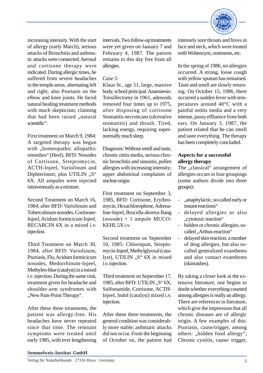

increasing intensity. With the start of allergy (early March), serious attacks of Bronchitis and asthmatic attacks were connected. Aerosol and cortisone therapy were indicated. During allergic times, he suffered from severe headaches in the temple areas, alternating left and right; also Psoriasis on the elbow and knee joints. He faced natural healing treatment methods with much skepticism, claiming that had been raised ..natural scientific".

First treatment on March 9, 1984: A targeted therapy was begun with "homeopathic allopathic remedies" (Heel). BFD: Nosodes of Cortisone, Streptomycin, ACTH-Injeel, Variolinum and Diphterinum; plus UTILIN "S" 6X. All ampules were injected intravenously as a mixture.

Second Treatment on March 16, 1984, after BFD: Variolinum and Tuberculinum nosodes, Cortisone-Injeel, Acidum formicicum Injeel, RECARCIN 6X in a mixed i.v. injection.

Third Treatment on March 30, 1984, after BFD: Variolinum, Psoriasis, Flu, Acidum formicicum nosodes, Medorrhinum-Injeel, Methylen-blue (catalyst) in a mixed i.v. injection. During the same visit, treatment given for headache and shoulder-arm syndromes with "New Pain-Point Therapy".

After these three treatments, the patient was allergy-free. His headaches have never repeated since that time. The remnant symptoms were treated until early 1985, with ever lengthening

intervals. Two follow-up treatments were yet given on January 7 and February 4, 1987. The patient remains to this day free from all allergies.

#### *Case 5:*

Klaus St., age 51, large, massive body, school principal. Anamnesis: Tonsillectomy in 1961, adenoids removed four times up to 1975, after disposing of cortisone Stomatitis necroticans (ulcerative stomatitis) and thrush. Tired, lacking energy, requiring supernormally much sleep.

Diagnosis: Without smell and taste, chronic otitis media, serious chronic bronchitis and sinusitis, pollen allergies with increasing intensity; upper abdominal complaints of unclear origin.

First treatment on September 3, 1985, BFD: Cortisone, Erythromycin, Hexachlorophene, Adrenaline-Injeel, Brucella abortus Bang (nosode) + 1 ampule MUCO-KEHL 5X i.v.

Second treatment on September 10, 1985: Chloroquin, Streptomycin-Injeel, Methylglyoxal (catalyst), UTILIN "S" 6X in mixed i.v. injection.

Third treatment on September 17, 1985, after BFD: UTILIN  $, S^{\prime\prime}$  6X, Sulfonamide, Cortisone, ACTH-Injeel, Indol (catalyst) mixed i.v. injection.

After these three treatments, the general condition was considerably more stable; asthmatic attacks did not occur. From the beginning of October on, the patient had intensely sore throats and hives in face and neck, which were treated with Wobenzym, ointments, etc.

In the spring of 1986, no allergies occurred. A strong, loose cough with yellow sputum has remained. Taste and smell are slowly returning. On October 15, 1986, there occurred a sudden fever with temperatures around 40°C with a painful ostitis media and a very intense, pussy effluence from both ears. On January 3, 1987, the patient related that he can smell and taste everything. The therapy has been completely concluded.

# **Aspects for a successful allergy therapy**

The "classical" arrangement of allergies occurs in four groupings (some authors divide into three groups):

- ,,anaphylactic, so-called early or instant reactions"
- delayed allergies or also "cytotoxic reaction"
- hidden or chronic allergies, socalled ..Arthus-reaction"
- delayed skin reaction; a number of drug allergies, but also socalled generalized exanthems and also contact exanthems (skinrashes).

By taking a closer look at the extensive literature, one begins to doubt whether everything counted among allergies is really an allergy. There are references in literature, which give the impression that all chronic diseases are of allergic origin. A few examples of this: Psoriasis, cause/trigger, among others: "hidden food allergy"; Chronic cystitis, cause/ trigger,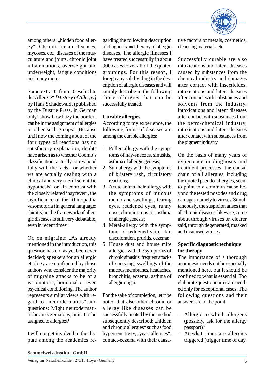

among others: "hidden food allergy". Chronic female diseases, mycoses, etc., diseases of the musculature and joints, chronic joint inflammations, overweight and underweight, fatigue conditions and many more.

Some extracts from "Geschichte der Allergie" *[History of Allergy]* by Hans Schadewaldt (published by the Dustrie Press, in German only) show how hazy the borders can be in the assignment of allergies or other such groups: ..Because until now the coming about of the four types of reactions has no satisfactory explanation, doubts have arisen as to whether Coomb's classifications actually corres-pond fully with the facts - or whether we are actually dealing with a clinical and very useful scientific hypothesis" or ..In contrast with the closely related 'hayfever', the significance of the Rhinopathia vasomotoria (in general language: rhinitis) in the framework of allergic diseases is still very debatable, even in recent times".

Or, on migraine: "As already mentioned in the introduction, this question has not as yet been ever decided; speakers for an allergic etiology are confronted by those authors who consider the majority of migraine attacks to be of a vasomotoric, hormonal or even psychical conditioning. The author represents similar views with regard to "neurodermatitis" and questions: Might neurodermatitis be an eczematopy, or is it to be assigned to allergies?

I will not get involved in the dispute among the academics regarding the following description of diagnosis and therapy of allergic diseases. The allergic illnesses I have treated successfully in about 900 cases cover all of the quoted groupings. For this reason, I forego any subdividing in the description of allergic diseases and will simply describe in the following those allergies that can be successfully treated.

# **Curable allergies**

According to my experience, the following forms of diseases are among the curable allergies:

- 1. Pollen allergy with the symptoms of hay-sneezes, sinusitis, asthma of allergic genesis;
- 2. Sun-allergy with the symptoms of blistery rash, circulatory reactions;
- 3. Acute animal hair allergy with the symptoms of mucous membrane swellings, tearing eyes, reddened eyes, runny nose, chronic sinusitis, asthma of allergic genesis;
- 4. Metal-allergy with the symptoms of reddened skin, skin discoloration, pruritis, eczema;
- 5. House dust and house mite allergies with the symptoms of chronic sinusitis, frequent attacks of sneezing, swellings of the mucous membranes, headaches, bronchitis, eczema, asthma of allergic origin.

For the sake of completion, let it be noted that also other chronic or allergy like diseases can be successfully treated by the method subsequently described: "hidden and chronic allergies" such as food hypersensitivity, "yeast allergies", contact-eczema with their causative factors of metals, cosmetics, cleansing materials, etc.

Successfully curable are also intoxications and latent diseases caused by substances from the chemical industry and damages after contact with insecticides, intoxications and latent diseases after contact with substances and solvents from the industry, intoxications and latent diseases after contact with substances from the petro-chemical industry, intoxications and latent diseases after contact with substances from the pigment industry.

On the basis of many years of experience in diagnoses and treatment processes, the causal chain of all allergies, including the quoted pseudo-allergies, seem to point to a common cause beyond the tested nosodes and drug damages, namely to viruses. Simultaneously, the suspicion arises that all chronic diseases, likewise, come about through viruses or, clearer said, through degenerated, masked and disguised viruses.

# **Specific diagnostic technique for therapy**

The importance of a thorough anamnesis needs not be especially mentioned here, but it should be confined to what is essential. Too elaborate questionnaires are needed only for exceptional cases. The following questions and their answers are to the point:

- Allergic to which allergens (possibly, ask for the allergy passport)?
- At what times are allergies triggered (trigger time of day,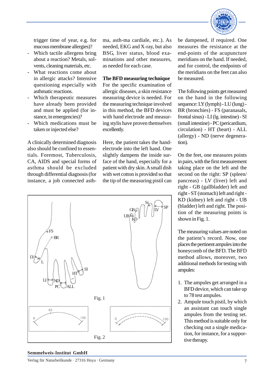

trigger time of year, e.g. for mucous membrane allergies)?

- Which tactile allergens bring about a reaction? Metals, solvents, cleaning materials, etc.
- What reactions come about in allergic attacks? Intensive questioning especially with asthmatic reactions.
- Which therapeutic measures have already been provided and must be applied (for instance, in emergencies)?
- Which medications must be taken or injected else?

A clinically determined diagnosis also should be confined to essentials. Foremost, Tuberculosis, CA, AIDS and special forms of asthma should be excluded through differential diagnosis (for instance, a job connected asthma, asth-ma cardiale, etc.). As needed, EKG and X-ray, but also BSG, liver status, blood examinations and other measures, as needed for each case.

#### **The BFD measuring technique**

For the specific examination of allergic diseases, a skin resistance measuring device is needed. For the measuring technique involved in this method, the BFD devices with hand electrode and measuring stylis have proven themselves excellently.

Here, the patient takes the handelectrode into the left hand. One slightly dampens the inside surface of the hand, especially for a patient with dry skin. A small dish with wet cotton is provided so that the tip of the measuring pistil can



be dampened, if required. One measures the resistance at the end-points of the acupuncture meridians on the hand. If needed, and for control, the endpoints of the meridians on the feet can also be measured.

The following points get measured on the hand in the following sequence: LY (lymph) - LU (lung) - BR (bronchies) - FS (paranasals, frontal sinus) - LI (lg. intestine) - SI (small intestine) - PC (pericardium, circulation) - HT (heart) - ALL (allergy) - ND (nerve degeneration).

On the feet, one measures points in pairs, with the first measurement taking place on the left and the second on the right: SP (spleen/ pancreas) - LV (liver) left and right - GB (gallbladder) left and right - ST (stomach) left and right - KD (kidney) left and right - UB (bladder) left and right. The position of the measuring points is shown in Fig. 1.

The measuring values are noted on the patient's record. Now, one places the pertinent ampules into the honeycomb of the BFD. The BFD method allows, moreover, two additional methods for testing with ampules:

- 1. The ampules get arranged in a BFD device, which can take up to 78 test ampules.
- 2. Ampule touch pistil, by which an assistant can touch single ampules from the testing set. This method is suitable only for checking out a single medication, for instance, for a supportive therapy.

#### **Semmelweis-Institut GmbH**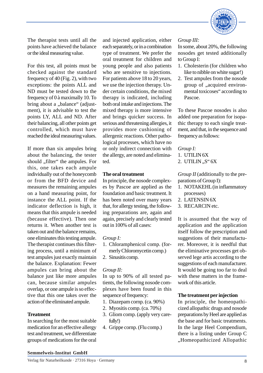

The therapist tests until all the points have achieved the balance or the ideal measuring value.

For this test, all points must be checked against the standard frequency of 40 (Fig. 2), with two exceptions: the points ALL and ND must be tested down to the frequency of 0 à maximally 10. To bring about a "balance" (adjustment), it is advisable to test the points LY, ALL and ND. After their balancing, all other points get controlled, which must have reached the ideal measuring values.

If more than six ampules bring about the balancing, the tester should "filter" the ampules. For this, one takes each ampule individually out of the honeycomb or from the BFD device and measures the remaining ampules on a hand measuring point, for instance the ALL point. If the indicator deflection is high, it means that this ampule is needed (because effective). Then one returns it. When another test is taken out and the balance remains, one eliminates this testing ampule. The therapist continues this filtering process, until a minimum of test ampules just exactly maintain the balance. Explanation: Fewer ampules can bring about the balance just like more ampules can, because similar ampules overlap, or one ampule is so effective that this one takes over the action of the eliminated ampule.

#### **Treatment**

In searching for the most suitable medication for an effective allergy test and treatment, we differentiate groups of medications for the oral

and injected application, either each separately, or in a combination type of treatment. We prefer the oral treatment for children and young people and also patients who are sensitive to injections. For patients above 18 to 20 years, we use the injection therapy. Under certain conditions, the mixed therapy is indicated, including both oral intake and injections. The mixed therapy is more intensive and brings quicker success. In serious and threatening allergies, it provides more cushioning of allergenic reactions. Other pathological processes, which have no or only indirect connection with the allergy, are noted and eliminated.

## **The oral treatment**

In principle, the nosode complexes by Pascoe are applied as the foundation and basic treatment. It has been noted over many years that, for allergy testing, the following preparations are, again and again, precisely and clearly tested out in 100% of all cases:

## *Group I:*

- 1. Chloramphenicol comp. (formerly Chloromycetin cornp.)
- 2. Sinusitis comp.

# *Group II:*

In up to 90% of all tested patients, the following nosode complexes have been found in this sequence of frequency:

- 1. Diazepam cornp. (ca. 90%)
- 2. Myositis comp. (ca. 70%)
- 3. Gliom comp. (apply very carefully!)
- 4. Grippe cornp. (Flu comp.)

# *Group III:*

In some, about 20%, the following nosodes get tested additionally to Group I:

- 1. Cholesterin (for children who like to nibble on white sugar!)
- 2. Test ampules from the nosode group of "acquired environmental toxicoses" according to Pascoe.

To these Pascoe nosodes is also added one preparation for isopathic therapy to each single treatment, and that, in the sequence and frequency as follows:

# *Group I:*

- 1. UTILIN 6X
- 2. UTILIN  $.S``6X$

*Group II* (additionally to the preparations of Group I):

- 1. NOTAKEHL (in inflammatory processes)
- 2. LATENSIN 6X
- 3. RECARCIN etc.

It is assumed that the way of application and the application itself follow the prescription and suggestions of their manufacturer. Moreover, it is needful that the eliminative processes get observed lege artis according to the suggestions of each manufacturer. It would be going too far to deal with these matters in the framework of this article.

# **The treatment per injection**

In principle, the homeopathicized allopathic drugs and nosode preparations by Heel are applied as the base and for basic treatments. In the large Heel Compendium, there is a listing under Group C "Homeopathicized Allopathic

## **Semmelweis-Institut GmbH**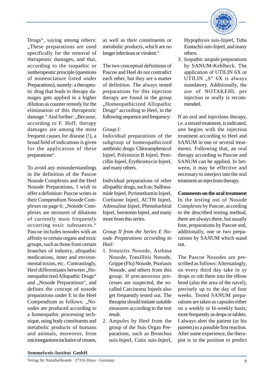

Drugs", saying among others: "These preparations are used. specifically for the removal of therapeutic damages, and that, according to the isopathic or isotherapeutic principle (questions of nomenclature listed under Preparations), namely: a therapeutic drug that leads to therapy damages gets applied in a higher dilution as counter remedy for the elimination of this therapeutic damage." And further: "Because, according to F. Hoff, therapy damages are among the most frequent causes for disease (!), a broad field of indications is given for the application of these preparations".

To avoid any misunderstandings in the definition of the Pascoe Nosode Complexes and the Heel Nosode Preparations, I wish to offer a definition: Pascoe writes in their Compendium Nosode Complexes on page 6: "Nosode Complexes are mixtures of dilutions of currently most frequently occurring toxic substances." Pascoe includes nosodes with an affinity to certain organs and toxic groups, such as those from certain branches of industry, allopathic medications, inner and environmental toxins, etc.. Contrastingly, Heel differentiates between "Homeopathicized Allopathic Drugs" and "Nosode Preparations", and defines the concept of nosode preparations under E in the Heel Compendium as follows: "Nosodes are produced according to a homeopathic processing technique, using body constituents and metabolic products of humans and animals, moreover, from microorganisms inclusive of viruses,

as well as their constituents or metabolic products, which are no longer infectious or virulent."

The two conceptual definitions of Pascoe and Heel do not contradict each other, but they are a matter of definition. The always tested preparations for this injection therapy are found in the group "Homeopathicized Allopathic Drugs" according to Heel, in the following sequence and frequency:

# *Group I:*

Individual preparations of the subgroup of homeopathicized antibiotic drugs: Chloramphenicol Injeel, Polymixin B Injeel, Penicillin Injeel, Erythromycin Injeel, and many others.

Individual preparations of other allopathic drugs, such as: Sulfonamide Injeel, Pyrimethamin Injeel, Cortisone Injeel, ACTH Injeel, Adrenaline Injeel, Phenobarbital Injeel, Serotonin Injeel, and many more from this series.

# *Group II from the Series E Nosode Preparations according to Heel:*

- 1. Sinusitis Nosode, Asthma Nosode, Tonsillitis Nosode, Grippe (Flu) Nosode, Psoriasis Nosode, and others from this group. If precancerous processes are suspected, the socalled Carcinoma Injeels also get frequently tested out. The therapist should initiate suitable measures according to the test result.
- 2. Ampules by Heel from the group of the Suis Organ Preparations, such as Bronchus suis-Injeel, Cutis suis-Injeel,

Hypophysis suis-Injeel, Tuba Eustachii suis-Injeel, and many others.

3. Isopathic ampule preparations by SANUM-Kehlbeck. The application of UTILIN 6X or UTILIN  $, S^*$  6X is always mandatory. Additionally, the use of NOTAKEHL per injection or orally is recommended.

If an oral and injections therapy, i.e. a mixed treatment, is indicated, one begins with the injection treatment according to Heel and SANUM in one or several treatments. Following that, an oral therapy according to Pascoe and SANUM can be applied. In between, it may be effective and necessary to interject into the oral treatment an injections therapy.

**Comments on the oral treatment** In the testing out of Nosode Complexes by Pascoe, according to the described testing method, there are always three, but usually four, preparations by Pascoe and, additionally, one or two preparations by SANUM which stand out.

The Pascoe Nosodes are prescribed as follows: Alternatingly, on every third day take in *xy* drops or rub them into the elbow bend (also the area of the navel), precisely up to the day of four weeks. Tested SANUM preparations are taken as capsules either on a weekly or bi-weekly basis; more frequently as drops or tablets. I always alert the patient (or his parents) to a possible first reaction. After some experience, the therapist is in the position to predict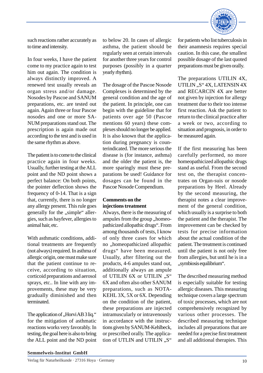

such reactions rather accurately as to time and intensity.

In four weeks, I have the patient come to my practice again to test him out again. The condition is always distinctly improved. A renewed test usually reveals an organ stress and/or damage. Nosodes by Pascoe and SANUM preparations, etc. are tested out again. Again three or four Pascoe nosodes and one or more SA-NUM preparations stand out. The prescription is again made out according to the test and is used in the same rhythm as above.

The patient is to come to the clinical practice again in four weeks. Usually, further testing at the ALL point and the ND point shows a perfect balance: On both points, the pointer deflection shows the frequency of 0-14. That is a sign that, currently, there is no longer any allergy present. This rule goes generally for the "simple" allergies, such as hayfever, allergies to animal hair, etc.

With asthmatic conditions, additional treatments are frequently (not always) required. In asthma of allergic origin, one must make sure that the patient continue to receive, according to situation, corticoid preparations and aerosol sprays, etc.. In line with any improvements, these may be very gradually diminished and then terminated.

The application of "Horvi AB 3 liq." for the mitigation of asthmatic reactions works very favorably. In testing, the goal here is also to bring the ALL point and the ND point to below 20. In cases of allergic asthma, the patient should be regularly seen at certain intervals for another three years for control purposes (possibly in a quarter yearly rhythm).

The dosage of the Pascoe Nosode Complexes is determined by the general condition and the age of the patient. In principle, one can begin with the guideline that for patients over age 50 (Pascoe mentions 60 years) these complexes should no longer be applied. It is also known that the application during pregnancy is counterindicated. The more serious the disease is (for instance, asthma) and the older the patient is, the more sparingly must these preparations be used! Guidance for dosages can be found in the Pascoe Nosode Compendium.

# **Comments on the injections treatment**

Always, there is the measuring of ampules from the group "homeopathicized allopathic drugs". From among thousands of tests, I know of only three cases for which no "homeopathicized allopathic drugs" have been measured. Usually, after filtering out the products, 4-6 ampules stand out, additionally always an ampule of UTILIN 6X or UTILIN ...S" 6X and often also other SANUM preparations, such as NOTA-KEHL 3X, 5X or 6X. Depending on the condition of the patient, these preparations are injected intramuscularly or intravenously in accordance with the instructions given by SANUM-Kehlbeck, or prescribed orally. The application of UTLIN and UTILIN "S"

for patients who list tuberculosis in their anamnesis requires special caution. In this case, the smallest possible dosage of the last quoted preparations must be given orally.

The preparations UTILIN 4X, UTILIN "S" 4X, LATENSIN 4X and RECARCIN 4X are better not given by injection for allergy treatment due to their too intense first reaction. Ask the patient to return to the clinical practice after a week or two, according to situation and prognosis, in order to be measured again.

If the first measuring has been carefully performed, no more homeopathicized allopathic drugs stand as useful. From the second test on, the therapist concentrates on Organ-suis or nosode preparations by Heel. Already by the second measuring, the therapist notes a clear improvement of the general condition, which usually is a surprise to both the patient and the therapist. The improvement can be checked by tests for precise information about the actual condition of the patient. The treatment is continued until the patient is not only free from allergies, but until he is in a , symbiosis equilibrium".

The described measuring method is especially suitable for testing allergic diseases. This measuring technique covers a large spectrum of toxic processes, which are not comprehensively recognized by various other processes. The described measuring technique includes all preparations that are needed for a precise first treatment and all additional therapies. This